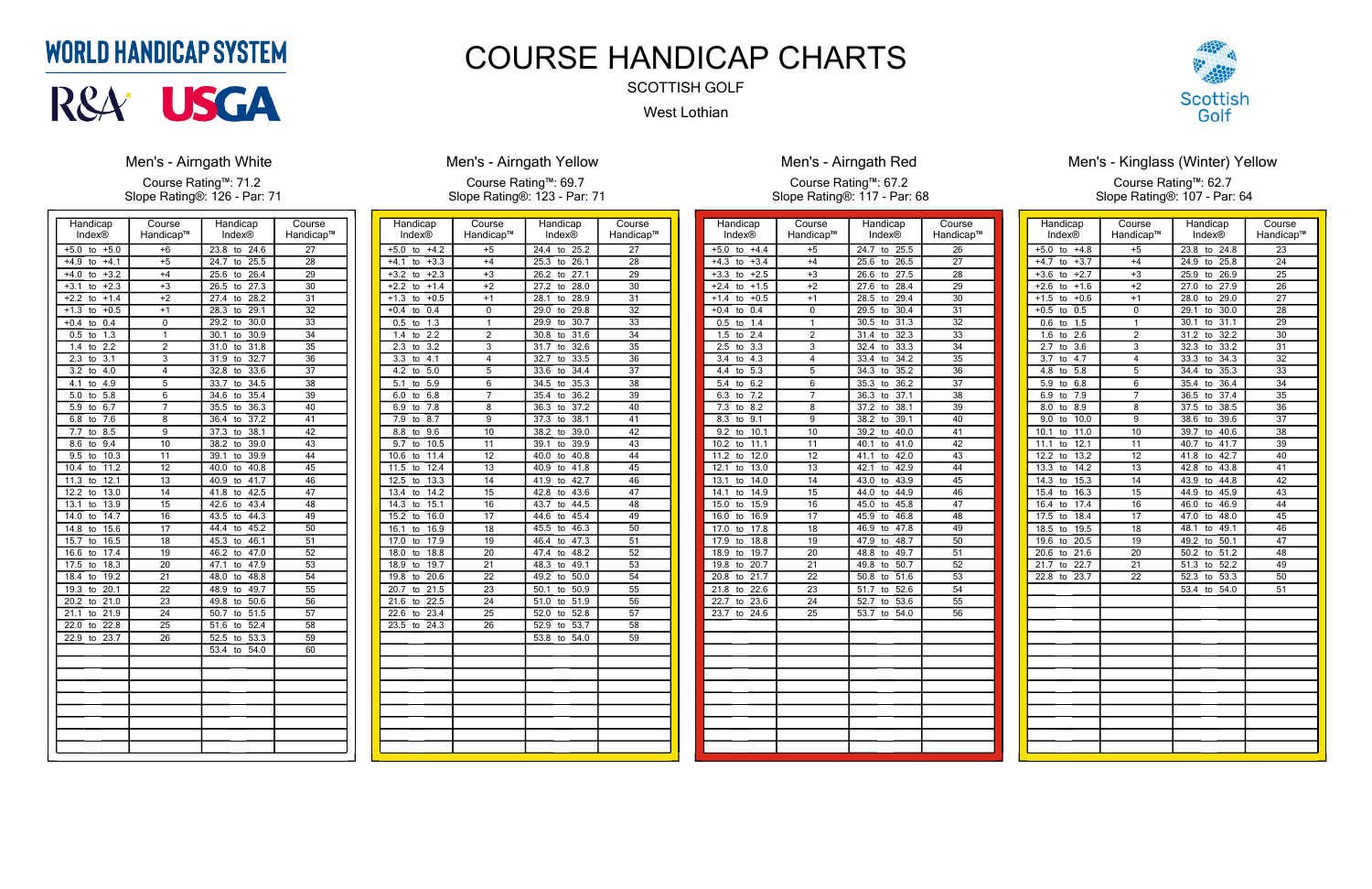| Handicap                        | Course          | Handicap                        | Course          |
|---------------------------------|-----------------|---------------------------------|-----------------|
| Index®                          | Handicap™       | Index®                          | Handicap™       |
| $+5.0$<br>$+5.0$<br>to          | $+6$            | 23.8<br>to<br>24.6              | 27              |
| $+4.1$<br>$+4.9$<br>to          | $+5$            | 24.7<br>25.5<br>to              | 28              |
| $+3.2$<br>$+4.0$<br>to          | $+4$            | 26.4<br>25.6<br>to              | 29              |
| $+3.1$<br>$+2.3$<br>to          | $+3$            | 27.3<br>26.5<br>to              | $\overline{30}$ |
| $+2.2$<br>$+1.4$<br>to          | $+2$            | 27.4<br>28.2<br>to              | 31              |
| $+0.5$<br>$+1.3$<br>to          | $+1$            | 29.1<br>28.3<br>to              | $\overline{32}$ |
| $+0.4$<br>0.4<br>to             | 0               | 29.2<br>30.0<br>to              | 33              |
| $\overline{1.3}$<br>0.5<br>to   | 1               | $\overline{30.9}$<br>30.1<br>to | $\overline{34}$ |
| 2.2<br>1.4<br>to                | $\overline{2}$  | $\overline{31.0}$<br>31.8<br>to | $\overline{35}$ |
| $\overline{3.1}$<br>2.3<br>to   | 3               | 32.7<br>31.9<br>to              | 36              |
| 3.2<br>4.0<br>to                | 4               | 33.6<br>32.8<br>to              | 37              |
| 4.1<br>4.9<br>to                | 5               | 33.7<br>34.5<br>to              | 38              |
| 5.0<br>5.8<br>to                | 6               | 35.4<br>34.6<br>to              | 39              |
| 5.9<br>6.7<br>to                | 7               | 35.5<br>36.3<br>to              | 40              |
| $\overline{7.6}$<br>6.8<br>to   | 8               | 36.4<br>37.2<br>to              | 41              |
| 7.7<br>8.5<br>to                | 9               | 37.3<br>38.1<br>to              | 42              |
| 9.4<br>8.6<br>to                | 10              | 39.0<br>38.2<br>to              | 43              |
| 10.3<br>9.5<br>to               | 11              | 39.9<br>39.1<br>to              | 44              |
| 11.2<br>10.4<br>to              | 12              | 40.0<br>40.8<br>to              | $\overline{45}$ |
| $\overline{12.1}$<br>11.3<br>to | 13              | 41.7<br>40.9<br>to              | 46              |
| 13.0<br>12.2<br>to              | 14              | 42.5<br>41.8<br>to              | 47              |
| 13.1<br>13.9<br>to              | $\overline{15}$ | 43.4<br>42.6<br>to              | $\overline{48}$ |
| 14.7<br>14.0<br>to              | 16              | 44.3<br>43.5<br>to              | 49              |
| 15.6<br>14.8<br>to              | 17              | 45.2<br>44.4<br>to              | 50              |
| 15.7<br>16.5<br>to              | 18              | 46.1<br>45.3<br>to              | 51              |
| 17.4<br>16.6<br>to              | $\overline{19}$ | 47.0<br>46.2<br>to              | 52              |
| 17.5<br>18.3<br>to              | 20              | $\frac{1}{47.9}$<br>47.1<br>to  | 53              |
| 19.2<br>18.4<br>to              | 21              | 48.8<br>48.0<br>to              | 54              |
| 20.1<br>19.3<br>to              | $\overline{22}$ | 49.7<br>48.9<br>to              | $\overline{55}$ |
| $\overline{21.0}$<br>20.2<br>to | 23              | 50.6<br>49.8<br>to              | 56              |
| 21.1<br>21.9<br>to              | 24              | 50.7<br>51.5<br>to              | 57              |
| 22.0<br>22.8<br>to              | 25              | 51.6<br>52.4<br>to              | 58              |
| 22.9<br>23.7<br>to              | $\overline{26}$ | 52.5<br>53.3<br>to              | $\overline{59}$ |
|                                 |                 | 54.0<br>53.4<br>to              | 60              |
|                                 |                 |                                 |                 |
|                                 |                 |                                 |                 |
|                                 |                 |                                 |                 |
|                                 |                 |                                 |                 |
|                                 |                 |                                 |                 |
|                                 |                 |                                 |                 |
|                                 |                 |                                 |                 |
|                                 |                 |                                 |                 |

### **Men's - Airngath White**

Course Rating™: 71.2 Slope Rating®: 126 - Par: 71

| Handicap<br>Index®                 | Course<br>Handicap™                | Handicap<br>Index®                                          | Course<br>Handicap™                |
|------------------------------------|------------------------------------|-------------------------------------------------------------|------------------------------------|
| $+4.2$<br>$+5.0$<br>to             | $+5$                               | 24.4<br>25.2<br>to                                          | $\overline{27}$                    |
| $+3.3$<br>$+4.1$<br>to             | $+4$                               | 25.3<br>26.1<br>to                                          | 28                                 |
| $+3.2$<br>$+2.3$<br>to             | $+3$                               | 26.2<br>27.1<br>to                                          | 29                                 |
| $+2.2$<br>$+1.4$<br>to             | $+2$                               | 28.0<br>27.2<br>to                                          | $\overline{30}$                    |
| $+0.5$<br>$+1.3$<br>to             | $+1$                               | 28.9<br>28.1<br>to                                          | $\overline{31}$                    |
| $+0.4$<br>0.4<br>to                | 0                                  | 29.0<br>29.8<br>to                                          | $\overline{32}$                    |
| 0.5<br>1.3<br>to                   | 1                                  | 29.9<br>30.7<br>to                                          | 33                                 |
| 2.2<br>1.4<br>to                   | $\overline{2}$                     | 30.8<br>31.6<br>to                                          | 34                                 |
| 2.3<br>$\overline{3.2}$<br>to      | $\overline{\overline{3}}$          | 31.7<br>32.6<br>to                                          | $\overline{35}$                    |
| $\overline{3.3}$<br>4.1<br>to      | 4                                  | 32.7<br>33.5<br>to                                          | $\overline{36}$                    |
| 4.2<br>5.0<br>to                   | 5                                  | 33.6<br>34.4<br>to                                          | 37                                 |
| 5.1<br>5.9<br>to                   | 6                                  | 35.3<br>34.5<br>to                                          | 38                                 |
| 6.0<br>6.8<br>to                   | 7                                  | 35.4<br>36.2<br>to                                          | 39                                 |
| 6.9<br>7.8<br>to                   | $\overline{8}$                     | 37.2<br>36.3<br>to                                          | 40                                 |
| 8.7<br>7.9<br>to                   | $\overline{9}$                     | 38.1<br>37.3<br>to                                          | $\overline{41}$                    |
| 8.8<br>9.6<br>to                   | 10                                 | 38.2<br>39.0<br>to                                          | 42                                 |
| 9.7<br>10.5                        | 11                                 | 39.1<br>39.9<br>to                                          | 43                                 |
| to<br>10.6<br>11.4<br>to           | 12                                 | 40.0<br>40.8<br>to                                          | 44                                 |
| 11.5<br>12.4                       | $\overline{13}$                    | 40.9<br>41.8                                                | 45                                 |
| to<br>12.5<br>13.3<br>to           | 14                                 | to<br>41.9<br>42.7<br>to                                    | 46                                 |
| 14.2<br>13.4                       | $\overline{15}$                    | 42.8<br>43.6                                                | 47                                 |
| to                                 |                                    | to                                                          |                                    |
| 14.3<br>15.1<br>to<br>15.2<br>16.0 | 16<br>$\overline{17}$              | 43.7<br>44.5<br>to<br>44.6<br>45.4                          | 48<br>49                           |
| to<br>16.1<br>16.9                 | $\overline{18}$                    | to<br>45.5<br>46.3                                          |                                    |
| to<br>17.0                         |                                    | to                                                          | 50                                 |
| 17.9<br>to<br>18.0                 | 19<br>$\overline{20}$              | 46.4<br>47.3<br>to                                          | $\overline{51}$<br>$\overline{52}$ |
| 18.8<br>to                         |                                    | 47.4<br>48.2<br>to                                          |                                    |
| 18.9<br>19.7<br>to                 | $\overline{21}$<br>$\overline{22}$ | 48.3<br>49.1<br>to                                          | $\overline{53}$<br>54              |
| 19.8<br>20.6<br>to                 | $\overline{23}$                    | 49.2<br>50.0<br>to                                          | $\overline{55}$                    |
| 20.7<br>21.5<br>to<br>21.6<br>22.5 | 24                                 | $\overline{50.1}$<br>50.9<br>to<br>51.0<br>$\frac{1}{51.9}$ | 56                                 |
| to                                 |                                    | to                                                          |                                    |
| 22.6<br>23.4<br>to                 | 25                                 | 52.0<br>52.8<br>to                                          | 57                                 |
| 23.5<br>24.3<br>to                 | 26                                 | 52.9<br>53.7<br>to<br>53.8<br>54.0                          | 58<br>59                           |
|                                    |                                    | to                                                          |                                    |
|                                    |                                    |                                                             |                                    |
|                                    |                                    |                                                             |                                    |
|                                    |                                    |                                                             |                                    |
|                                    |                                    |                                                             |                                    |
|                                    |                                    |                                                             |                                    |
|                                    |                                    |                                                             |                                    |
|                                    |                                    |                                                             |                                    |
|                                    |                                    |                                                             |                                    |
|                                    |                                    |                                                             |                                    |

# **Men's - Airngath Yellow**

Course Rating™: 69.7 Slope Rating®: 123 - Par: 71

| Handicap                        | Course          | Handicap           | Course          |
|---------------------------------|-----------------|--------------------|-----------------|
| Index®                          | Handicap™       | Index®             | Handicap™       |
| $+5.0$<br>$+4.4$<br>to          | $+5$            | 24.7<br>25.5<br>to | 26              |
| $+4.3$<br>$+3.4$<br>to          | $+4$            | 26.5<br>25.6<br>to | 27              |
| $+3.3$<br>to $+2.5$             | $+3$            | 27.5<br>26.6<br>to | 28              |
| $+2.4$<br>$+1.5$<br>to          | $+2$            | 27.6<br>28.4<br>to | 29              |
| $+0.5$<br>$+1.4$<br>to          | $+1$            | 28.5<br>29.4<br>to | 30              |
| 0.4<br>$+0.4$<br>to             | 0               | 29.5<br>30.4<br>to | 31              |
| 1.4<br>0.5<br>to                | 1               | 30.5<br>31.3<br>to | 32              |
| 2.4<br>1.5<br>to                | $\overline{2}$  | 32.3<br>31.4<br>to | $\overline{33}$ |
| 3.3<br>2.5<br>to                | $\overline{3}$  | 32.4<br>33.3<br>to | $\overline{34}$ |
| 4.3<br>3.4<br>to                | 4               | 34.2<br>33.4<br>to | 35              |
| 5.3<br>4.4<br>to                | $\overline{5}$  | 35.2<br>34.3<br>to | 36              |
| 6.2<br>5.4<br>to                | 6               | 36.2<br>35.3<br>to | 37              |
| 7.2<br>6.3<br>to                | 7               | 36.3<br>37.1<br>to | 38              |
| 8.2<br>7.3<br>to                | $\overline{8}$  | 37.2<br>38.1<br>to | 39              |
| 9.1<br>8.3<br>to                | 9               | 39.1<br>38.2<br>to | 40              |
| 9.2<br>10.1<br>to               | 10              | 40.0<br>39.2<br>to | 41              |
| 11.1<br>10.2<br>to              | $\overline{11}$ | 40.1<br>41.0<br>to | 42              |
| 12.0<br>11.2<br>to              | 12              | 42.0<br>41.1<br>to | 43              |
| 12.1<br>13.0<br>to              | 13              | 42.1<br>42.9<br>to | 44              |
| 13.1<br>$\overline{14.0}$<br>to | 14              | 43.0<br>43.9<br>to | 45              |
| 14.9<br>14.1<br>to              | 15              | 44.0<br>44.9<br>to | 46              |
| 15.9<br>15.0<br>to              | 16              | 45.0<br>45.8<br>to | 47              |
| 16.0<br>16.9<br>to              | 17              | 45.9<br>46.8<br>to | $\overline{48}$ |
| 17.0<br>17.8<br>to              | 18              | 46.9<br>47.8<br>to | 49              |
| 17.9<br>18.8<br>to              | 19              | 47.9<br>48.7<br>to | 50              |
| 18.9<br>19.7<br>to              | $\overline{20}$ | 48.8<br>49.7<br>to | 51              |
| 20.7<br>19.8<br>to              | $\overline{2}1$ | 50.7<br>49.8<br>to | 52              |
| 20.8<br>21.7<br>to              | 22              | 51.6<br>50.8<br>to | 53              |
| 21.8<br>22.6<br>to              | $\overline{23}$ | 51.7<br>52.6<br>to | 54              |
| 22.7<br>23.6<br>to              | 24              | 52.7<br>53.6<br>to | 55              |
| $\overline{23.7}$<br>24.6<br>to | $\overline{25}$ | 53.7<br>54.0<br>to | 56              |
|                                 |                 |                    |                 |
|                                 |                 |                    |                 |
|                                 |                 |                    |                 |
|                                 |                 |                    |                 |
|                                 |                 |                    |                 |
|                                 |                 |                    |                 |
|                                 |                 |                    |                 |
|                                 |                 |                    |                 |
|                                 |                 |                    |                 |
|                                 |                 |                    |                 |
|                                 |                 |                    |                 |



### Men's - Airngath Red

Course Rating™: 67.2 Slope Rating®: 117 - Par: 68

| Handicap                      | Course          | Handicap                        | Course          |
|-------------------------------|-----------------|---------------------------------|-----------------|
| Index®                        | Handicap™       | <b>Index®</b>                   | Handicap™       |
| $+4.8$<br>$+5.0$<br>to        | $+5$            | 23.8<br>24.8<br>to              | $\overline{23}$ |
| $+3.7$<br>$+4.7$<br>to        | $+4$            | 24.9<br>25.8<br>to              | 24              |
| $+2.7$<br>$+3.6$<br>to        | $+3$            | 25.9<br>26.9<br>to              | $\overline{25}$ |
| $+1.6$<br>$+2.6$ to           | $+2$            | 27.9<br>27.0<br>to              | $\overline{26}$ |
| $+1.5$ to<br>$+0.6$           | $+1$            | 28.0<br>29.0<br>to              | $\overline{27}$ |
| $+0.5$<br>0.5<br>to           | 0               | 29.1<br>30.0<br>to              | 28              |
| 0.6<br>1.5<br>to              | 1               | 31.1<br>30.1<br>to              | 29              |
| $\overline{1.6}$<br>2.6<br>to | $\overline{2}$  | 31.2<br>32.2<br>to              | 30              |
| 3.6<br>2.7<br>to              | $\overline{3}$  | 32.3<br>33.2<br>to              | $\overline{31}$ |
| $\overline{3.7}$<br>4.7<br>to | 4               | 33.3<br>34.3<br>to              | $\overline{32}$ |
| $\overline{5.8}$<br>4.8<br>to | 5               | 34.4<br>35.3<br>to              | $\overline{33}$ |
| 5.9<br>6.8<br>to              | 6               | 36.4<br>35.4<br>to              | $\overline{34}$ |
| 7.9<br>6.9<br>to              | 7               | 36.5<br>37.4<br>to              | $\overline{35}$ |
| 8.0<br>8.9<br>to              | 8               | 37.5<br>38.5<br>to              | 36              |
| 10.0<br>9.0<br>to             | $\overline{9}$  | 38.6<br>39.6<br>to              | $\overline{37}$ |
| 10.1<br>11.0<br>to            | $\overline{10}$ | 39.7<br>40.6<br>to              | $\overline{38}$ |
| 11.1<br>12.1<br>to            | 11              | 40.7<br>41.7<br>to              | $\overline{39}$ |
| 12.2<br>13.2<br>to            | 12              | 42.7<br>41.8<br>to              | 40              |
| 14.2<br>13.3<br>to            | $\overline{13}$ | 43.8<br>42.8<br>to              | $\overline{41}$ |
| 14.3<br>15.3<br>to            | 14              | 43.9<br>44.8<br>to              | $\overline{42}$ |
| 15.4<br>16.3<br>to            | $\overline{15}$ | 45.9<br>44.9<br>to              | $\overline{43}$ |
| 16.4<br>17.4<br>to            | 16              | 46.9<br>46.0<br>to              | 44              |
| 17.5<br>18.4<br>to            | $\overline{17}$ | 48.0<br>47.0<br>to              | $\overline{45}$ |
| 18.5<br>19.5<br>to            | 18              | 49.1<br>48.1<br>to              | 46              |
| 19.6<br>20.5<br>to            | $\overline{19}$ | 49.2<br>$\overline{50.1}$<br>to | $\overline{47}$ |
| 20.6<br>21.6<br>to            | $\overline{20}$ | 50.2<br>51.2<br>to              | 48              |
| 21.7<br>22.7<br>to            | $\overline{21}$ | 52.2<br>$\overline{51.3}$<br>to | 49              |
| 22.8<br>23.7<br>to            | 22              | 52.3<br>53.3<br>to              | 50              |
|                               |                 | 53.4<br>54.0<br>to              | $\overline{51}$ |
|                               |                 |                                 |                 |
|                               |                 |                                 |                 |
|                               |                 |                                 |                 |
|                               |                 |                                 |                 |
|                               |                 |                                 |                 |
|                               |                 |                                 |                 |
|                               |                 |                                 |                 |
|                               |                 |                                 |                 |
|                               |                 |                                 |                 |
|                               |                 |                                 |                 |
|                               |                 |                                 |                 |
|                               |                 |                                 |                 |
|                               |                 |                                 |                 |

### Men's - Kinglass (Winter) Yellow Course Rating™: 62.7 Slope Rating®: 107 - Par: 64

# **WORLD HANDICAP SYSTEM**



# COURSE HANDICAP CHARTS

SCOTTISH GOLF

## West Lothian